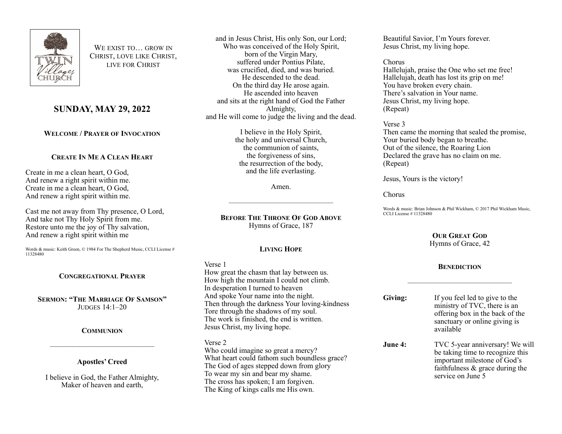

WE EXIST TO **GROW IN** CHRIST, LOVE LIKE CHRIST, LIVE FOR CHRIST

# **SUNDAY, MAY 29, 2022**

# **WELCOME / PRAYER OF INVOCATION**

## **CREATE IN ME A CLEAN HEART**

Create in me a clean heart, O God, And renew a right spirit within me. Create in me a clean heart, O God, And renew a right spirit within me.

Cast me not away from Thy presence, O Lord, And take not Thy Holy Spirit from me. Restore unto me the joy of Thy salvation, And renew a right spirit within me

Words & music: Keith Green, © 1984 For The Shepherd Music, CCLI License # 11328480

#### **CONGREGATIONAL PRAYER**

**SERMON: "THE MARRIAGE OF SAMSON"** JUDGES 14:1–20

#### **COMMUNION**

#### **Apostles' Creed**

——————————————

I believe in God, the Father Almighty, Maker of heaven and earth,

and in Jesus Christ, His only Son, our Lord; Who was conceived of the Holy Spirit, born of the Virgin Mary, suffered under Pontius Pilate, was crucified, died, and was buried. He descended to the dead. On the third day He arose again. He ascended into heaven and sits at the right hand of God the Father Almighty, and He will come to judge the living and the dead.

> I believe in the Holy Spirit, the holy and universal Church, the communion of saints, the forgiveness of sins, the resurrection of the body, and the life everlasting.

> > Amen.

——————————————

**BEFORE THE THRONE OF GOD ABOVE** Hymns of Grace, 187

#### **LIVING HOPE**

#### Verse 1

How great the chasm that lay between us. How high the mountain I could not climb. In desperation I turned to heaven And spoke Your name into the night. Then through the darkness Your loving-kindness Tore through the shadows of my soul. The work is finished, the end is written. Jesus Christ, my living hope.

## Verse 2

Who could imagine so great a mercy? What heart could fathom such boundless grace? The God of ages stepped down from glory To wear my sin and bear my shame. The cross has spoken; I am forgiven. The King of kings calls me His own.

Beautiful Savior, I'm Yours forever. Jesus Christ, my living hope.

# Chorus

Hallelujah, praise the One who set me free! Hallelujah, death has lost its grip on me! You have broken every chain. There's salvation in Your name. Jesus Christ, my living hope. (Repeat)

#### Verse 3

Then came the morning that sealed the promise, Your buried body began to breathe. Out of the silence, the Roaring Lion Declared the grave has no claim on me. (Repeat)

Jesus, Yours is the victory!

## Chorus

Words & music: Brian Johnson & Phil Wickham, © 2017 Phil Wickham Music, CCLI License # 11328480

# **OUR GREAT GOD**

Hymns of Grace, 42

## **BENEDICTION**

——————————————

- **Giving:** If you feel led to give to the ministry of TVC, there is an offering box in the back of the sanctuary or online giving is available
- **June 4:** TVC 5-year anniversary! We will be taking time to recognize this important milestone of God's faithfulness & grace during the service on June 5